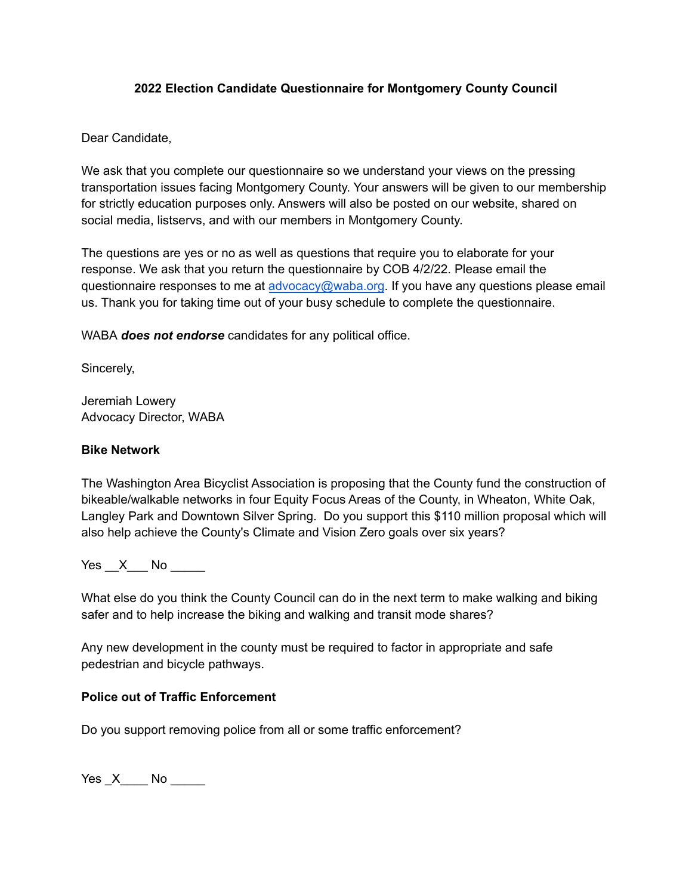### **2022 Election Candidate Questionnaire for Montgomery County Council**

Dear Candidate,

We ask that you complete our questionnaire so we understand your views on the pressing transportation issues facing Montgomery County. Your answers will be given to our membership for strictly education purposes only. Answers will also be posted on our website, shared on social media, listservs, and with our members in Montgomery County.

The questions are yes or no as well as questions that require you to elaborate for your response. We ask that you return the questionnaire by COB 4/2/22. Please email the questionnaire responses to me at [advocacy@waba.org](mailto:advocacy@waba.org). If you have any questions please email us. Thank you for taking time out of your busy schedule to complete the questionnaire.

WABA *does not endorse* candidates for any political office.

Sincerely,

Jeremiah Lowery Advocacy Director, WABA

### **Bike Network**

The Washington Area Bicyclist Association is proposing that the County fund the construction of bikeable/walkable networks in four Equity Focus Areas of the County, in Wheaton, White Oak, Langley Park and Downtown Silver Spring. Do you support this \$110 million proposal which will also help achieve the County's Climate and Vision Zero goals over six years?

Yes X No  $\blacksquare$ 

What else do you think the County Council can do in the next term to make walking and biking safer and to help increase the biking and walking and transit mode shares?

Any new development in the county must be required to factor in appropriate and safe pedestrian and bicycle pathways.

# **Police out of Traffic Enforcement**

Do you support removing police from all or some traffic enforcement?

Yes \_X\_\_\_\_ No \_\_\_\_\_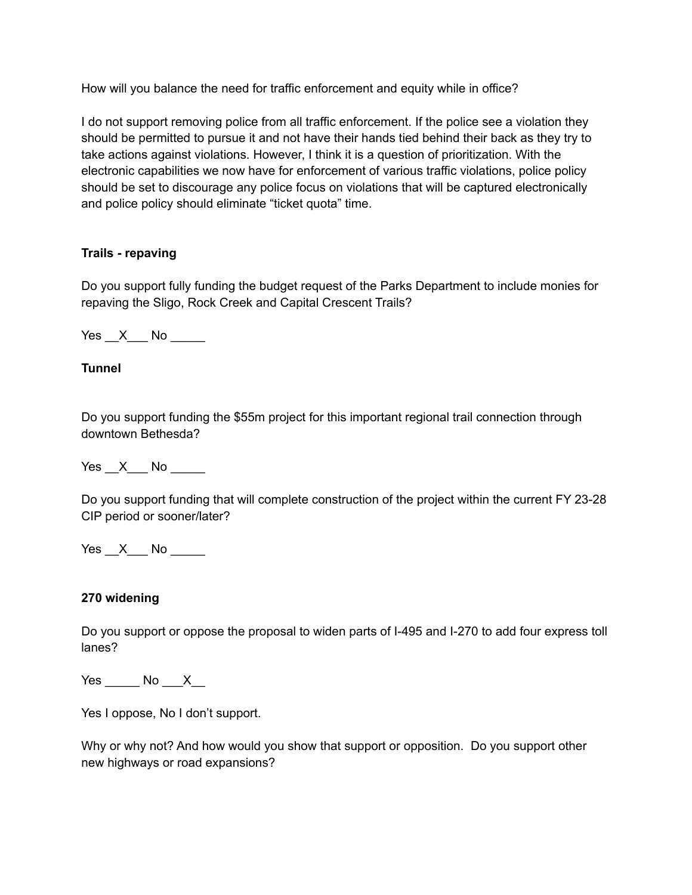How will you balance the need for traffic enforcement and equity while in office?

I do not support removing police from all traffic enforcement. If the police see a violation they should be permitted to pursue it and not have their hands tied behind their back as they try to take actions against violations. However, I think it is a question of prioritization. With the electronic capabilities we now have for enforcement of various traffic violations, police policy should be set to discourage any police focus on violations that will be captured electronically and police policy should eliminate "ticket quota" time.

### **Trails - repaving**

Do you support fully funding the budget request of the Parks Department to include monies for repaving the Sligo, Rock Creek and Capital Crescent Trails?

 $Yes \_ X \_ No \_$ 

# **Tunnel**

Do you support funding the \$55m project for this important regional trail connection through downtown Bethesda?

Yes  $X$  No  $\blacksquare$ 

Do you support funding that will complete construction of the project within the current FY 23-28 CIP period or sooner/later?

 $Yes \_\ X \_\$  No  $\_\_\_\$ 

#### **270 widening**

Do you support or oppose the proposal to widen parts of I-495 and I-270 to add four express toll lanes?

Yes No X

Yes I oppose, No I don't support.

Why or why not? And how would you show that support or opposition. Do you support other new highways or road expansions?